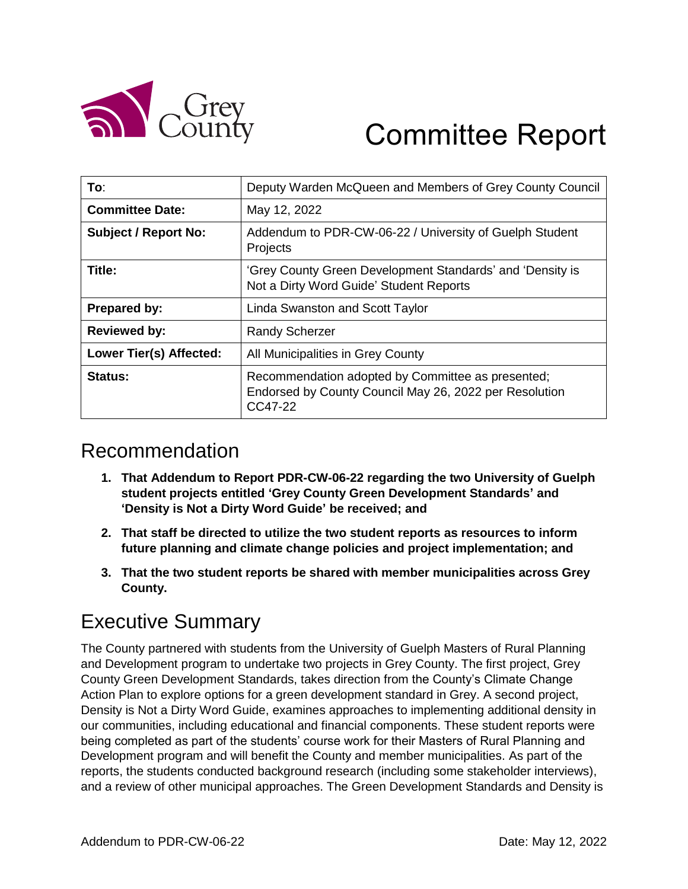

# Committee Report

| To∶                            | Deputy Warden McQueen and Members of Grey County Council                                                               |
|--------------------------------|------------------------------------------------------------------------------------------------------------------------|
| <b>Committee Date:</b>         | May 12, 2022                                                                                                           |
| <b>Subject / Report No:</b>    | Addendum to PDR-CW-06-22 / University of Guelph Student<br>Projects                                                    |
| Title:                         | 'Grey County Green Development Standards' and 'Density is<br>Not a Dirty Word Guide' Student Reports                   |
| <b>Prepared by:</b>            | Linda Swanston and Scott Taylor                                                                                        |
| <b>Reviewed by:</b>            | <b>Randy Scherzer</b>                                                                                                  |
| <b>Lower Tier(s) Affected:</b> | All Municipalities in Grey County                                                                                      |
| Status:                        | Recommendation adopted by Committee as presented;<br>Endorsed by County Council May 26, 2022 per Resolution<br>CC47-22 |

## Recommendation

- **1. That Addendum to Report PDR-CW-06-22 regarding the two University of Guelph student projects entitled 'Grey County Green Development Standards' and 'Density is Not a Dirty Word Guide' be received; and**
- **2. That staff be directed to utilize the two student reports as resources to inform future planning and climate change policies and project implementation; and**
- **3. That the two student reports be shared with member municipalities across Grey County.**

### Executive Summary

The County partnered with students from the University of Guelph Masters of Rural Planning and Development program to undertake two projects in Grey County. The first project, Grey County Green Development Standards, takes direction from the County's Climate Change Action Plan to explore options for a green development standard in Grey. A second project, Density is Not a Dirty Word Guide, examines approaches to implementing additional density in our communities, including educational and financial components. These student reports were being completed as part of the students' course work for their Masters of Rural Planning and Development program and will benefit the County and member municipalities. As part of the reports, the students conducted background research (including some stakeholder interviews), and a review of other municipal approaches. The Green Development Standards and Density is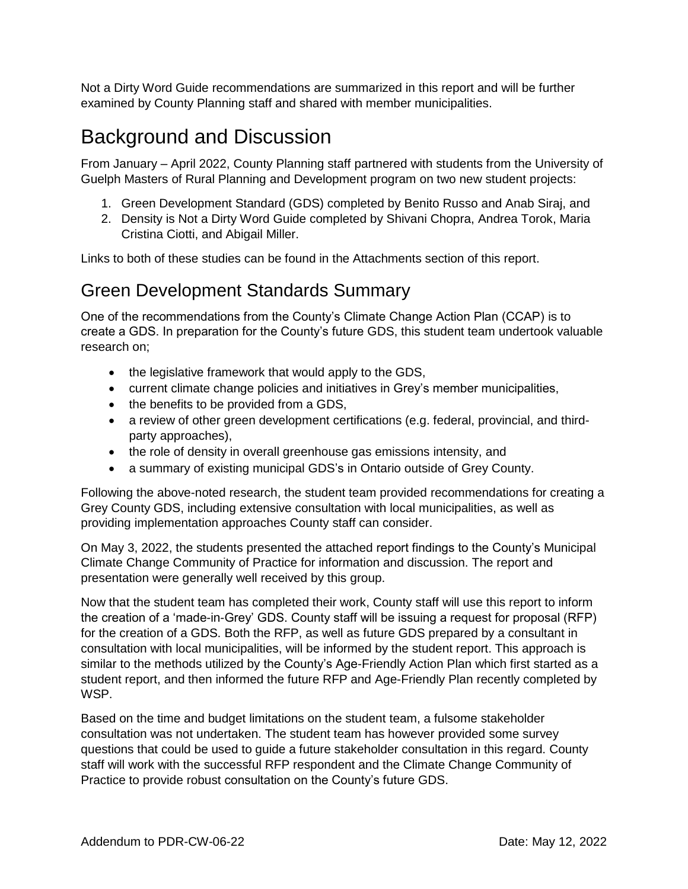Not a Dirty Word Guide recommendations are summarized in this report and will be further examined by County Planning staff and shared with member municipalities.

### Background and Discussion

From January – April 2022, County Planning staff partnered with students from the University of Guelph Masters of Rural Planning and Development program on two new student projects:

- 1. Green Development Standard (GDS) completed by Benito Russo and Anab Siraj, and
- 2. Density is Not a Dirty Word Guide completed by Shivani Chopra, Andrea Torok, Maria Cristina Ciotti, and Abigail Miller.

Links to both of these studies can be found in the Attachments section of this report.

#### Green Development Standards Summary

One of the recommendations from the County's Climate Change Action Plan (CCAP) is to create a GDS. In preparation for the County's future GDS, this student team undertook valuable research on;

- the legislative framework that would apply to the GDS,
- current climate change policies and initiatives in Grey's member municipalities,
- the benefits to be provided from a GDS,
- a review of other green development certifications (e.g. federal, provincial, and thirdparty approaches),
- the role of density in overall greenhouse gas emissions intensity, and
- a summary of existing municipal GDS's in Ontario outside of Grey County.

Following the above-noted research, the student team provided recommendations for creating a Grey County GDS, including extensive consultation with local municipalities, as well as providing implementation approaches County staff can consider.

On May 3, 2022, the students presented the attached report findings to the County's Municipal Climate Change Community of Practice for information and discussion. The report and presentation were generally well received by this group.

Now that the student team has completed their work, County staff will use this report to inform the creation of a 'made-in-Grey' GDS. County staff will be issuing a request for proposal (RFP) for the creation of a GDS. Both the RFP, as well as future GDS prepared by a consultant in consultation with local municipalities, will be informed by the student report. This approach is similar to the methods utilized by the County's Age-Friendly Action Plan which first started as a student report, and then informed the future RFP and Age-Friendly Plan recently completed by WSP.

Based on the time and budget limitations on the student team, a fulsome stakeholder consultation was not undertaken. The student team has however provided some survey questions that could be used to guide a future stakeholder consultation in this regard. County staff will work with the successful RFP respondent and the Climate Change Community of Practice to provide robust consultation on the County's future GDS.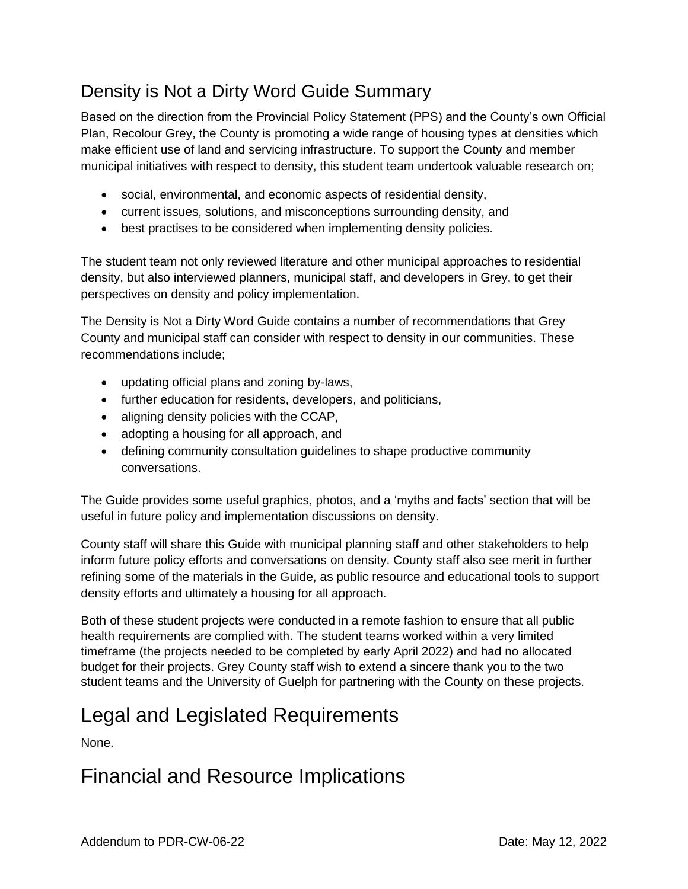#### Density is Not a Dirty Word Guide Summary

Based on the direction from the Provincial Policy Statement (PPS) and the County's own Official Plan, Recolour Grey, the County is promoting a wide range of housing types at densities which make efficient use of land and servicing infrastructure. To support the County and member municipal initiatives with respect to density, this student team undertook valuable research on;

- social, environmental, and economic aspects of residential density,
- current issues, solutions, and misconceptions surrounding density, and
- best practises to be considered when implementing density policies.

The student team not only reviewed literature and other municipal approaches to residential density, but also interviewed planners, municipal staff, and developers in Grey, to get their perspectives on density and policy implementation.

The Density is Not a Dirty Word Guide contains a number of recommendations that Grey County and municipal staff can consider with respect to density in our communities. These recommendations include;

- updating official plans and zoning by-laws,
- further education for residents, developers, and politicians,
- aligning density policies with the CCAP,
- adopting a housing for all approach, and
- defining community consultation guidelines to shape productive community conversations.

The Guide provides some useful graphics, photos, and a 'myths and facts' section that will be useful in future policy and implementation discussions on density.

County staff will share this Guide with municipal planning staff and other stakeholders to help inform future policy efforts and conversations on density. County staff also see merit in further refining some of the materials in the Guide, as public resource and educational tools to support density efforts and ultimately a housing for all approach.

Both of these student projects were conducted in a remote fashion to ensure that all public health requirements are complied with. The student teams worked within a very limited timeframe (the projects needed to be completed by early April 2022) and had no allocated budget for their projects. Grey County staff wish to extend a sincere thank you to the two student teams and the University of Guelph for partnering with the County on these projects.

# Legal and Legislated Requirements

None.

### Financial and Resource Implications